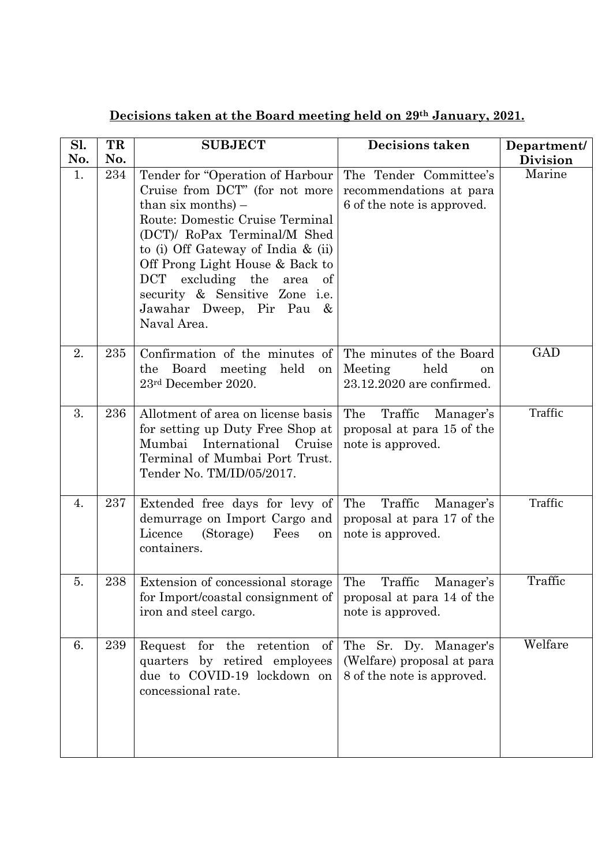## **Decisions taken at the Board meeting held on 29th January, 2021.**

| Sl.<br>No. | TR<br>No. | <b>SUBJECT</b>                                                                                                                                                                                                                                                                                                                                      | <b>Decisions taken</b>                                                            | Department/<br><b>Division</b> |
|------------|-----------|-----------------------------------------------------------------------------------------------------------------------------------------------------------------------------------------------------------------------------------------------------------------------------------------------------------------------------------------------------|-----------------------------------------------------------------------------------|--------------------------------|
| 1.         | 234       | Tender for "Operation of Harbour<br>Cruise from DCT" (for not more<br>than six months) $-$<br>Route: Domestic Cruise Terminal<br>(DCT)/ RoPax Terminal/M Shed<br>to (i) Off Gateway of India $\&$ (ii)<br>Off Prong Light House & Back to<br>DCT excluding the area of<br>security & Sensitive Zone i.e.<br>Jawahar Dweep, Pir Pau &<br>Naval Area. | The Tender Committee's<br>recommendations at para<br>6 of the note is approved.   | Marine                         |
| 2.         | 235       | Confirmation of the minutes of<br>Board meeting<br>held<br>the<br>on<br>23rd December 2020.                                                                                                                                                                                                                                                         | The minutes of the Board<br>Meeting<br>held<br>on<br>23.12.2020 are confirmed.    | <b>GAD</b>                     |
| 3.         | 236       | Allotment of area on license basis<br>for setting up Duty Free Shop at<br>Mumbai<br>International<br>Cruise<br>Terminal of Mumbai Port Trust.<br>Tender No. TM/ID/05/2017.                                                                                                                                                                          | Traffic<br>The<br>Manager's<br>proposal at para 15 of the<br>note is approved.    | Traffic                        |
| 4.         | 237       | Extended free days for levy of<br>demurrage on Import Cargo and<br>(Storage)<br>Licence<br>Fees<br>on<br>containers.                                                                                                                                                                                                                                | The<br>Traffic<br>Manager's<br>proposal at para 17 of the<br>note is approved.    | Traffic                        |
| 5.         | 238       | Extension of concessional storage<br>for Import/coastal consignment of<br>iron and steel cargo.                                                                                                                                                                                                                                                     | The<br>Traffic<br>Manager's<br>proposal at para 14 of the<br>note is approved.    | Traffic                        |
| 6.         | 239       | for the retention<br>of<br>Request<br>quarters by retired employees<br>due to COVID-19 lockdown on<br>concessional rate.                                                                                                                                                                                                                            | The Sr. Dy. Manager's<br>(Welfare) proposal at para<br>8 of the note is approved. | Welfare                        |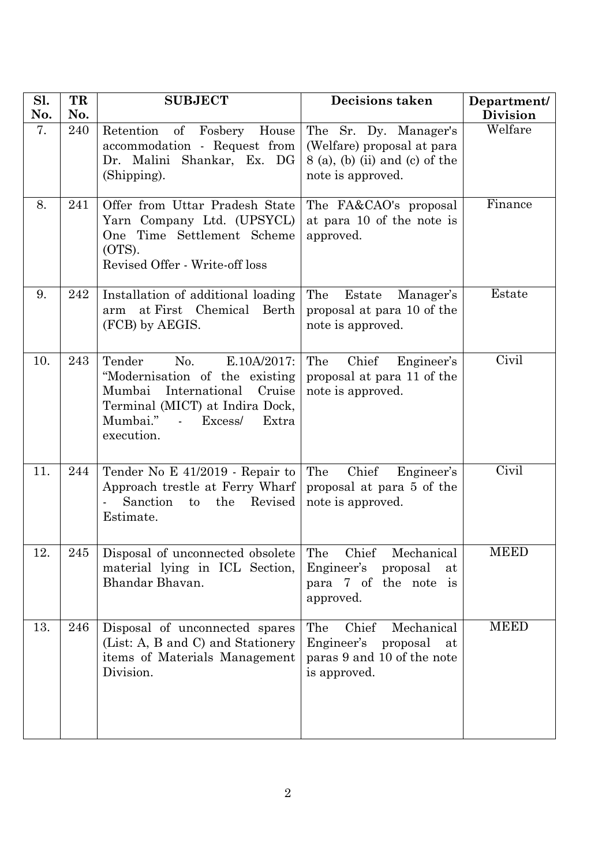| Sl.<br>No. | TR<br>No. | <b>SUBJECT</b>                                                                                                                                                                                              | <b>Decisions taken</b>                                                                                       | Department/<br><b>Division</b> |
|------------|-----------|-------------------------------------------------------------------------------------------------------------------------------------------------------------------------------------------------------------|--------------------------------------------------------------------------------------------------------------|--------------------------------|
| 7.         | 240       | Retention of Fosbery<br>House<br>accommodation - Request from<br>Dr. Malini Shankar, Ex. DG<br>(Shipping).                                                                                                  | The Sr. Dy. Manager's<br>(Welfare) proposal at para<br>$8$ (a), (b) (ii) and (c) of the<br>note is approved. | Welfare                        |
| 8.         | 241       | Offer from Uttar Pradesh State<br>Yarn Company Ltd. (UPSYCL)<br>One Time Settlement Scheme<br>(OTS).<br>Revised Offer - Write-off loss                                                                      | The FA&CAO's proposal<br>at para 10 of the note is<br>approved.                                              | Finance                        |
| 9.         | 242       | Installation of additional loading<br>at First Chemical Berth<br>arm<br>(FCB) by AEGIS.                                                                                                                     | The<br>Estate<br>Manager's<br>proposal at para 10 of the<br>note is approved.                                | Estate                         |
| 10.        | 243       | Tender<br>No.<br>$E.10A/2017$ :<br>"Modernisation of the existing"<br>Mumbai International<br>Cruise<br>Terminal (MICT) at Indira Dock,<br>Mumbai."<br>Excess/<br>Extra<br>$\Delta \sim 10^4$<br>execution. | Chief<br>The<br>Engineer's<br>proposal at para 11 of the<br>note is approved.                                | Civil                          |
| 11.        | 244       | Tender No E 41/2019 - Repair to<br>Approach trestle at Ferry Wharf<br>Sanction<br>the<br>Revised<br>to<br>Estimate.                                                                                         | Chief<br>The<br>Engineer's<br>proposal at para 5 of the<br>note is approved.                                 | Civil                          |
| 12.        | $245\,$   | Disposal of unconnected obsolete The<br>material lying in ICL Section,<br>Bhandar Bhavan.                                                                                                                   | Chief Mechanical<br>Engineer's<br>proposal<br>at<br>para 7 of the note is<br>approved.                       | <b>MEED</b>                    |
| 13.        | 246       | Disposal of unconnected spares<br>(List: A, B and C) and Stationery<br>items of Materials Management<br>Division.                                                                                           | Chief<br>The<br>Mechanical<br>Engineer's proposal<br>at<br>paras 9 and 10 of the note<br>is approved.        | <b>MEED</b>                    |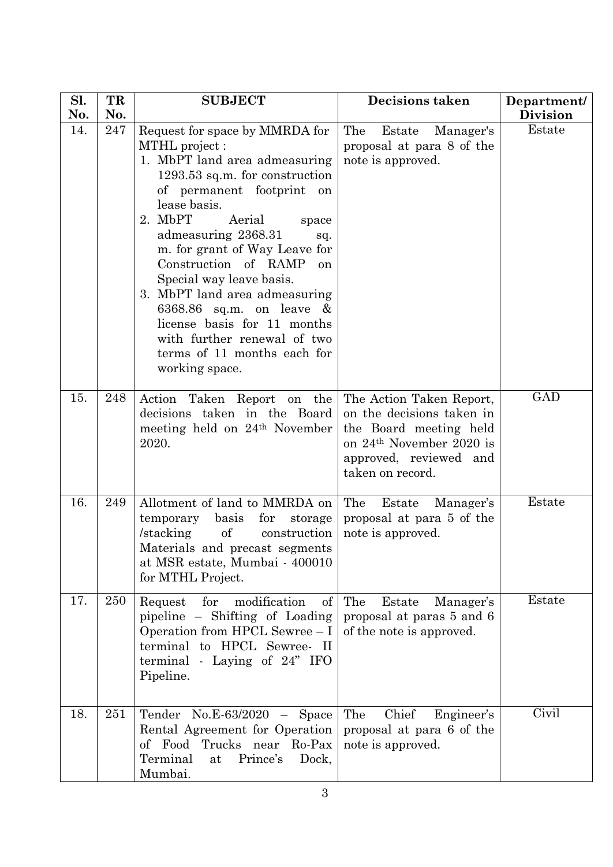| Sl.        | TR         | <b>SUBJECT</b>                                                                                                                                                                                                                                                                                                                                                                                                                                                                                           | <b>Decisions taken</b>                                                                                                                                                | Department/               |
|------------|------------|----------------------------------------------------------------------------------------------------------------------------------------------------------------------------------------------------------------------------------------------------------------------------------------------------------------------------------------------------------------------------------------------------------------------------------------------------------------------------------------------------------|-----------------------------------------------------------------------------------------------------------------------------------------------------------------------|---------------------------|
| No.<br>14. | No.<br>247 | Request for space by MMRDA for<br>MTHL project:<br>1. MbPT land area admeasuring<br>1293.53 sq.m. for construction<br>of permanent footprint<br>on<br>lease basis.<br>2. MbPT<br>Aerial<br>space<br>admeasuring 2368.31<br>sq.<br>m. for grant of Way Leave for<br>Construction of RAMP<br>on<br>Special way leave basis.<br>3. MbPT land area admeasuring<br>6368.86 sq.m. on leave $\&$<br>license basis for 11 months<br>with further renewal of two<br>terms of 11 months each for<br>working space. | The<br>Estate<br>Manager's<br>proposal at para 8 of the<br>note is approved.                                                                                          | <b>Division</b><br>Estate |
| 15.        | 248        | Action<br>Taken Report on the<br>decisions taken in the Board<br>meeting held on 24 <sup>th</sup> November<br>2020.                                                                                                                                                                                                                                                                                                                                                                                      | The Action Taken Report,<br>on the decisions taken in<br>the Board meeting held<br>on 24 <sup>th</sup> November 2020 is<br>approved, reviewed and<br>taken on record. | <b>GAD</b>                |
| 16.        | 249        | Allotment of land to MMRDA on<br>basis<br>for<br>storage<br>temporary<br>of<br>/stacking<br>construction<br>Materials and precast segments<br>at MSR estate, Mumbai - 400010<br>for MTHL Project.                                                                                                                                                                                                                                                                                                        | The<br>Manager's<br>Estate<br>proposal at para 5 of the<br>note is approved.                                                                                          | Estate                    |
| 17.        | 250        | for<br>modification<br>of<br>Request<br>pipeline – Shifting of Loading<br>Operation from HPCL Sewree - I<br>terminal to HPCL Sewree- II<br>terminal - Laying of 24" IFO<br>Pipeline.                                                                                                                                                                                                                                                                                                                     | The<br>Estate<br>Manager's<br>proposal at paras 5 and 6<br>of the note is approved.                                                                                   | Estate                    |
| 18.        | 251        | Tender<br>$No.E-63/2020 - Space$<br>Rental Agreement for Operation<br>of Food Trucks near Ro-Pax<br>Terminal<br>Prince's<br>Dock,<br>at<br>Mumbai.                                                                                                                                                                                                                                                                                                                                                       | Chief<br>The<br>Engineer's<br>proposal at para 6 of the<br>note is approved.                                                                                          | Civil                     |